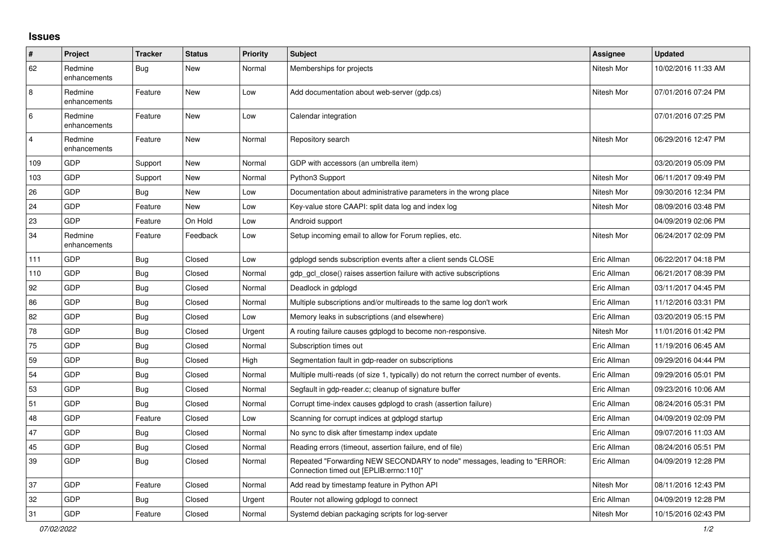## **Issues**

| #              | Project                 | <b>Tracker</b> | <b>Status</b> | <b>Priority</b> | <b>Subject</b>                                                                                                      | <b>Assignee</b> | <b>Updated</b>      |
|----------------|-------------------------|----------------|---------------|-----------------|---------------------------------------------------------------------------------------------------------------------|-----------------|---------------------|
| 62             | Redmine<br>enhancements | Bug            | New           | Normal          | Memberships for projects                                                                                            | Nitesh Mor      | 10/02/2016 11:33 AM |
| 8              | Redmine<br>enhancements | Feature        | <b>New</b>    | Low             | Add documentation about web-server (gdp.cs)                                                                         | Nitesh Mor      | 07/01/2016 07:24 PM |
| $\,6\,$        | Redmine<br>enhancements | Feature        | <b>New</b>    | Low             | Calendar integration                                                                                                |                 | 07/01/2016 07:25 PM |
| $\overline{4}$ | Redmine<br>enhancements | Feature        | <b>New</b>    | Normal          | Repository search                                                                                                   | Nitesh Mor      | 06/29/2016 12:47 PM |
| 109            | <b>GDP</b>              | Support        | New           | Normal          | GDP with accessors (an umbrella item)                                                                               |                 | 03/20/2019 05:09 PM |
| 103            | GDP                     | Support        | New           | Normal          | Python3 Support                                                                                                     | Nitesh Mor      | 06/11/2017 09:49 PM |
| 26             | GDP                     | <b>Bug</b>     | New           | Low             | Documentation about administrative parameters in the wrong place                                                    | Nitesh Mor      | 09/30/2016 12:34 PM |
| 24             | <b>GDP</b>              | Feature        | New           | Low             | Key-value store CAAPI: split data log and index log                                                                 | Nitesh Mor      | 08/09/2016 03:48 PM |
| 23             | <b>GDP</b>              | Feature        | On Hold       | Low             | Android support                                                                                                     |                 | 04/09/2019 02:06 PM |
| 34             | Redmine<br>enhancements | Feature        | Feedback      | Low             | Setup incoming email to allow for Forum replies, etc.                                                               | Nitesh Mor      | 06/24/2017 02:09 PM |
| 111            | <b>GDP</b>              | Bug            | Closed        | Low             | gdplogd sends subscription events after a client sends CLOSE                                                        | Eric Allman     | 06/22/2017 04:18 PM |
| 110            | GDP                     | <b>Bug</b>     | Closed        | Normal          | gdp gcl close() raises assertion failure with active subscriptions                                                  | Eric Allman     | 06/21/2017 08:39 PM |
| 92             | GDP                     | Bug            | Closed        | Normal          | Deadlock in gdplogd                                                                                                 | Eric Allman     | 03/11/2017 04:45 PM |
| 86             | <b>GDP</b>              | <b>Bug</b>     | Closed        | Normal          | Multiple subscriptions and/or multireads to the same log don't work                                                 | Eric Allman     | 11/12/2016 03:31 PM |
| 82             | GDP                     | <b>Bug</b>     | Closed        | Low             | Memory leaks in subscriptions (and elsewhere)                                                                       | Eric Allman     | 03/20/2019 05:15 PM |
| 78             | GDP                     | Bug            | Closed        | Urgent          | A routing failure causes gdplogd to become non-responsive.                                                          | Nitesh Mor      | 11/01/2016 01:42 PM |
| 75             | GDP                     | Bug            | Closed        | Normal          | Subscription times out                                                                                              | Eric Allman     | 11/19/2016 06:45 AM |
| 59             | GDP                     | Bug            | Closed        | High            | Segmentation fault in gdp-reader on subscriptions                                                                   | Eric Allman     | 09/29/2016 04:44 PM |
| 54             | <b>GDP</b>              | <b>Bug</b>     | Closed        | Normal          | Multiple multi-reads (of size 1, typically) do not return the correct number of events.                             | Eric Allman     | 09/29/2016 05:01 PM |
| 53             | GDP                     | Bug            | Closed        | Normal          | Segfault in gdp-reader.c; cleanup of signature buffer                                                               | Eric Allman     | 09/23/2016 10:06 AM |
| 51             | <b>GDP</b>              | Bug            | Closed        | Normal          | Corrupt time-index causes gdplogd to crash (assertion failure)                                                      | Eric Allman     | 08/24/2016 05:31 PM |
| 48             | GDP                     | Feature        | Closed        | Low             | Scanning for corrupt indices at gdplogd startup                                                                     | Eric Allman     | 04/09/2019 02:09 PM |
| 47             | GDP                     | <b>Bug</b>     | Closed        | Normal          | No sync to disk after timestamp index update                                                                        | Eric Allman     | 09/07/2016 11:03 AM |
| 45             | GDP                     | <b>Bug</b>     | Closed        | Normal          | Reading errors (timeout, assertion failure, end of file)                                                            | Eric Allman     | 08/24/2016 05:51 PM |
| 39             | GDP                     | Bug            | Closed        | Normal          | Repeated "Forwarding NEW SECONDARY to node" messages, leading to "ERROR:<br>Connection timed out [EPLIB:errno:110]" | Eric Allman     | 04/09/2019 12:28 PM |
| 37             | GDP                     | Feature        | Closed        | Normal          | Add read by timestamp feature in Python API                                                                         | Nitesh Mor      | 08/11/2016 12:43 PM |
| 32             | GDP                     | Bug            | Closed        | Urgent          | Router not allowing gdplogd to connect                                                                              | Eric Allman     | 04/09/2019 12:28 PM |
| 31             | GDP                     | Feature        | Closed        | Normal          | Systemd debian packaging scripts for log-server                                                                     | Nitesh Mor      | 10/15/2016 02:43 PM |